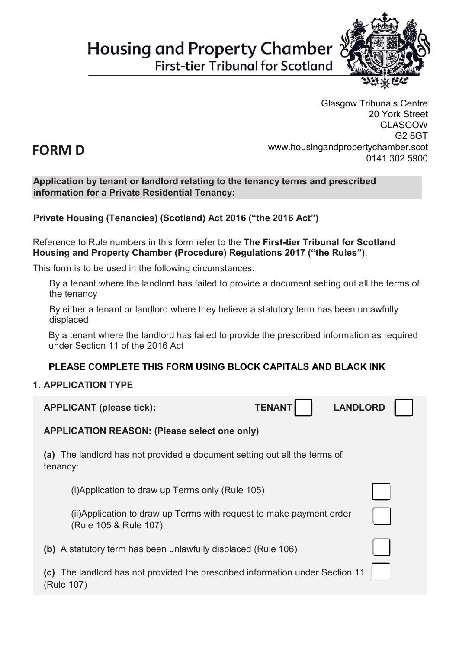**Housing and Property Chamber** 



**First-tier Tribunal for Scotland** 

# **FORM D**

Glasgow Tribunals Centre 20 York Street GLASGOW G2 8GT www.housingandpropertychamber.scot 0141 302 5900

**Application by tenant or landlord relating to the tenancy terms and prescribed information for a Private Residential Tenancy:** 

# **Private Housing (Tenancies) (Scotland) Act 2016 ("the 2016 Act")**

Reference to Rule numbers in this form refer to the **The First-tier Tribunal for Scotland Housing and Property Chamber (Procedure) Regulations 2017 ("the Rules")**.

This form is to be used in the following circumstances:

By a tenant where the landlord has failed to provide a document setting out all the terms of the tenancy

By either a tenant or landlord where they believe a statutory term has been unlawfully displaced

By a tenant where the landlord has failed to provide the prescribed information as required under Section 11 of the 2016 Act

# **PLEASE COMPLETE THIS FORM USING BLOCK CAPITALS AND BLACK INK**

#### **1. APPLICATION TYPE**

| <b>APPLICANT</b> (please tick):                                                                | <b>TENANT</b> | <b>LANDLORD</b> |
|------------------------------------------------------------------------------------------------|---------------|-----------------|
| <b>APPLICATION REASON: (Please select one only)</b>                                            |               |                 |
| The landlord has not provided a document setting out all the terms of<br>(a)<br>tenancy:       |               |                 |
| (i)Application to draw up Terms only (Rule 105)                                                |               |                 |
| (ii)Application to draw up Terms with request to make payment order<br>(Rule 105 & Rule 107)   |               |                 |
| (b) A statutory term has been unlawfully displaced (Rule 106)                                  |               |                 |
| The landlord has not provided the prescribed information under Section 11<br>(C)<br>(Rule 107) |               |                 |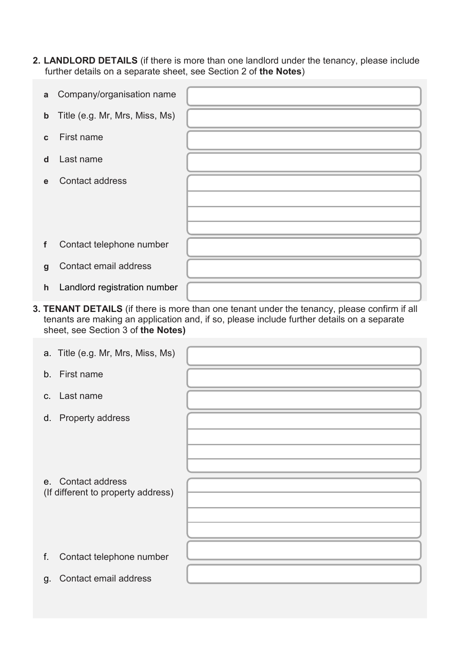**2. LANDLORD DETAILS** (if there is more than one landlord under the tenancy, please include further details on a separate sheet, see Section 2 of **the Notes**)

| $\mathsf{a}$ | Company/organisation name      |  |
|--------------|--------------------------------|--|
| $\mathsf{b}$ | Title (e.g. Mr, Mrs, Miss, Ms) |  |
| $\mathbf{c}$ | First name                     |  |
| d            | Last name                      |  |
| e            | <b>Contact address</b>         |  |
|              |                                |  |
|              |                                |  |
| f            | Contact telephone number       |  |
| $\mathbf{q}$ | Contact email address          |  |
| $\mathsf{h}$ | Landlord registration number   |  |

**3. TENANT DETAILS** (if there is more than one tenant under the tenancy, please confirm if all tenants are making an application and, if so, please include further details on a separate sheet, see Section 3 of **the Notes)**

| a. Title (e.g. Mr, Mrs, Miss, Ms)                        |  |
|----------------------------------------------------------|--|
| b. First name                                            |  |
| Last name<br>C.                                          |  |
| d. Property address                                      |  |
| e. Contact address<br>(If different to property address) |  |
| Contact telephone number<br>f.                           |  |
| g. Contact email address                                 |  |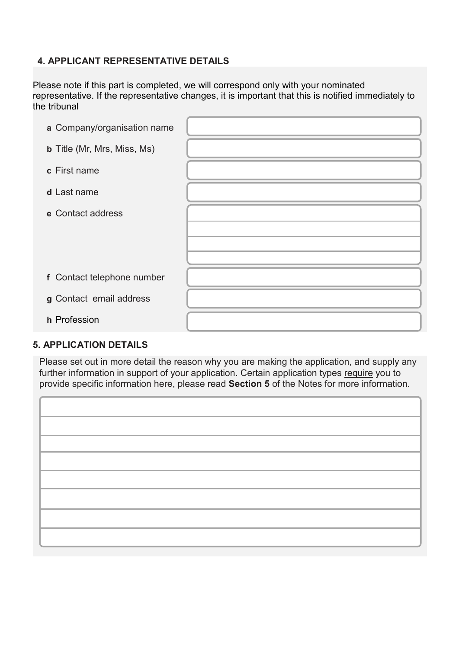# **4. APPLICANT REPRESENTATIVE DETAILS**

Please note if this part is completed, we will correspond only with your nominated representative. If the representative changes, it is important that this is notified immediately to the tribunal

| a Company/organisation name        |  |
|------------------------------------|--|
| <b>b</b> Title (Mr, Mrs, Miss, Ms) |  |
| c First name                       |  |
| d Last name                        |  |
| e Contact address                  |  |
|                                    |  |
|                                    |  |
| f Contact telephone number         |  |
| g Contact email address            |  |
| h Profession                       |  |

#### **5. APPLICATION DETAILS**

Please set out in more detail the reason why you are making the application, and supply any further information in support of your application. Certain application types require you to provide specific information here, please read **Section 5** of the Notes for more information.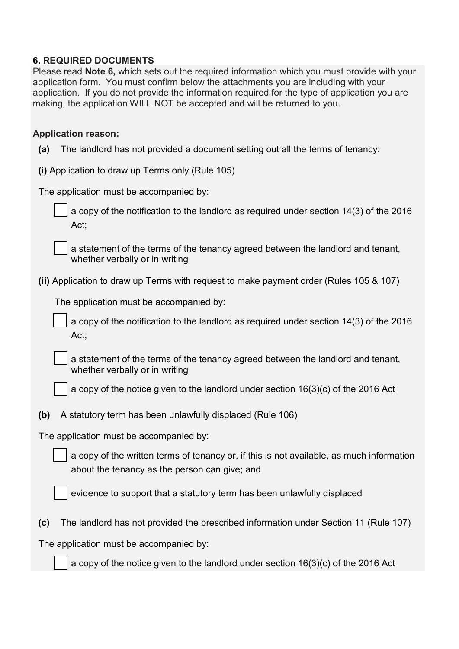#### **6. REQUIRED DOCUMENTS**

Please read **Note 6,** which sets out the required information which you must provide with your application form. You must confirm below the attachments you are including with your application. If you do not provide the information required for the type of application you are making, the application WILL NOT be accepted and will be returned to you.

#### **Application reason:**

- **(a)** The landlord has not provided a document setting out all the terms of tenancy:
- **(i)** Application to draw up Terms only (Rule 105)

The application must be accompanied by:

a copy of the notification to the landlord as required under section 14(3) of the 2016 Act;

a statement of the terms of the tenancy agreed between the landlord and tenant, whether verbally or in writing

**(ii)** Application to draw up Terms with request to make payment order (Rules 105 & 107)

The application must be accompanied by:

| $\vert$ a copy of the notification to the landlord as required under section 14(3) of the 2016 |  |
|------------------------------------------------------------------------------------------------|--|
| Act:                                                                                           |  |

a statement of the terms of the tenancy agreed between the landlord and tenant, whether verbally or in writing

a copy of the notice given to the landlord under section  $16(3)(c)$  of the 2016 Act

**(b)** A statutory term has been unlawfully displaced (Rule 106)

The application must be accompanied by:

a copy of the written terms of tenancy or, if this is not available, as much information about the tenancy as the person can give; and

evidence to support that a statutory term has been unlawfully displaced

**(c)** The landlord has not provided the prescribed information under Section 11 (Rule 107)

The application must be accompanied by:

a copy of the notice given to the landlord under section  $16(3)(c)$  of the 2016 Act